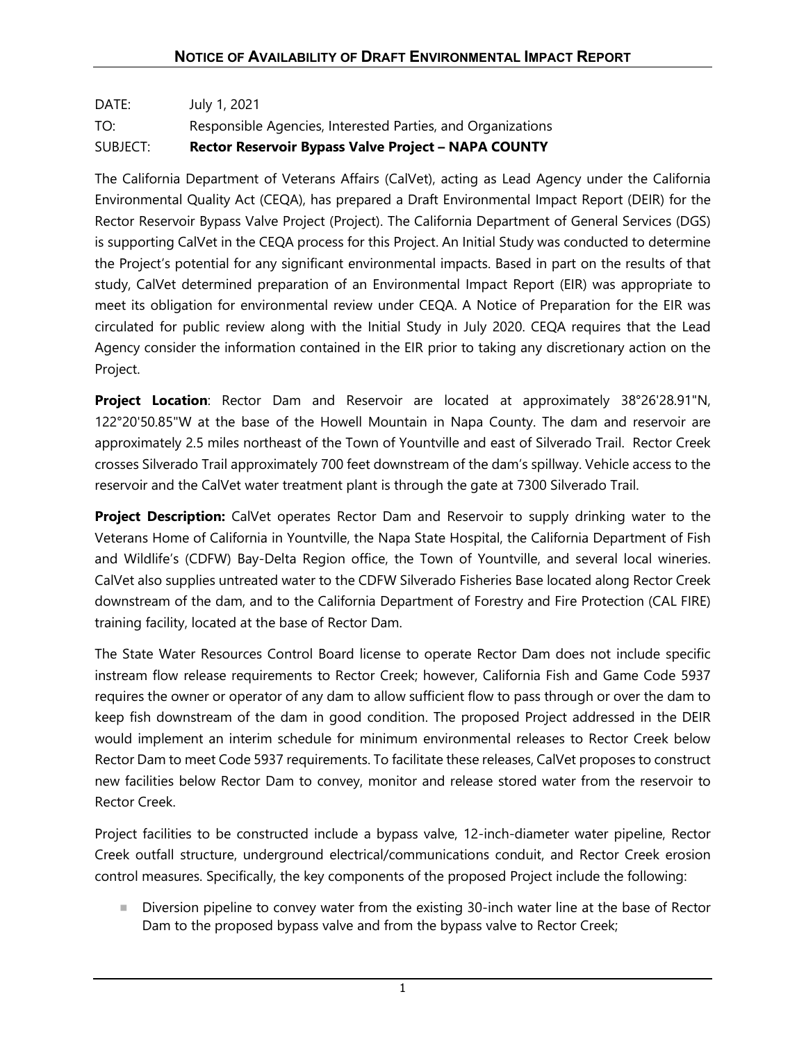## DATE: July 1, 2021 TO: Responsible Agencies, Interested Parties, and Organizations SUBJECT: **Rector Reservoir Bypass Valve Project – NAPA COUNTY**

The California Department of Veterans Affairs (CalVet), acting as Lead Agency under the California Environmental Quality Act (CEQA), has prepared a Draft Environmental Impact Report (DEIR) for the Rector Reservoir Bypass Valve Project (Project). The California Department of General Services (DGS) is supporting CalVet in the CEQA process for this Project. An Initial Study was conducted to determine the Project's potential for any significant environmental impacts. Based in part on the results of that study, CalVet determined preparation of an Environmental Impact Report (EIR) was appropriate to meet its obligation for environmental review under CEQA. A Notice of Preparation for the EIR was circulated for public review along with the Initial Study in July 2020. CEQA requires that the Lead Agency consider the information contained in the EIR prior to taking any discretionary action on the Project.

**Project Location**: Rector Dam and Reservoir are located at approximately 38°26'28.91"N, 122°20'50.85"W at the base of the Howell Mountain in Napa County. The dam and reservoir are approximately 2.5 miles northeast of the Town of Yountville and east of Silverado Trail. Rector Creek crosses Silverado Trail approximately 700 feet downstream of the dam's spillway. Vehicle access to the reservoir and the CalVet water treatment plant is through the gate at 7300 Silverado Trail.

**Project Description:** CalVet operates Rector Dam and Reservoir to supply drinking water to the Veterans Home of California in Yountville, the Napa State Hospital, the California Department of Fish and Wildlife's (CDFW) Bay-Delta Region office, the Town of Yountville, and several local wineries. CalVet also supplies untreated water to the CDFW Silverado Fisheries Base located along Rector Creek downstream of the dam, and to the California Department of Forestry and Fire Protection (CAL FIRE) training facility, located at the base of Rector Dam.

The State Water Resources Control Board license to operate Rector Dam does not include specific instream flow release requirements to Rector Creek; however, California Fish and Game Code 5937 requires the owner or operator of any dam to allow sufficient flow to pass through or over the dam to keep fish downstream of the dam in good condition. The proposed Project addressed in the DEIR would implement an interim schedule for minimum environmental releases to Rector Creek below Rector Dam to meet Code 5937 requirements. To facilitate these releases, CalVet proposes to construct new facilities below Rector Dam to convey, monitor and release stored water from the reservoir to Rector Creek.

Project facilities to be constructed include a bypass valve, 12-inch-diameter water pipeline, Rector Creek outfall structure, underground electrical/communications conduit, and Rector Creek erosion control measures. Specifically, the key components of the proposed Project include the following:

 Diversion pipeline to convey water from the existing 30-inch water line at the base of Rector Dam to the proposed bypass valve and from the bypass valve to Rector Creek;